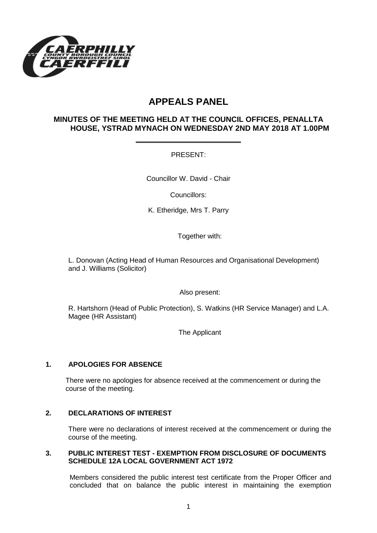

# **APPEALS PANEL**

## **MINUTES OF THE MEETING HELD AT THE COUNCIL OFFICES, PENALLTA HOUSE, YSTRAD MYNACH ON WEDNESDAY 2ND MAY 2018 AT 1.00PM**

PRESENT:

Councillor W. David - Chair

Councillors:

K. Etheridge, Mrs T. Parry

Together with:

L. Donovan (Acting Head of Human Resources and Organisational Development) and J. Williams (Solicitor)

Also present:

R. Hartshorn (Head of Public Protection), S. Watkins (HR Service Manager) and L.A. Magee (HR Assistant)

The Applicant

### **1. APOLOGIES FOR ABSENCE**

There were no apologies for absence received at the commencement or during the course of the meeting.

### **2. DECLARATIONS OF INTEREST**

There were no declarations of interest received at the commencement or during the course of the meeting.

#### **3. PUBLIC INTEREST TEST - EXEMPTION FROM DISCLOSURE OF DOCUMENTS SCHEDULE 12A LOCAL GOVERNMENT ACT 1972**

Members considered the public interest test certificate from the Proper Officer and concluded that on balance the public interest in maintaining the exemption